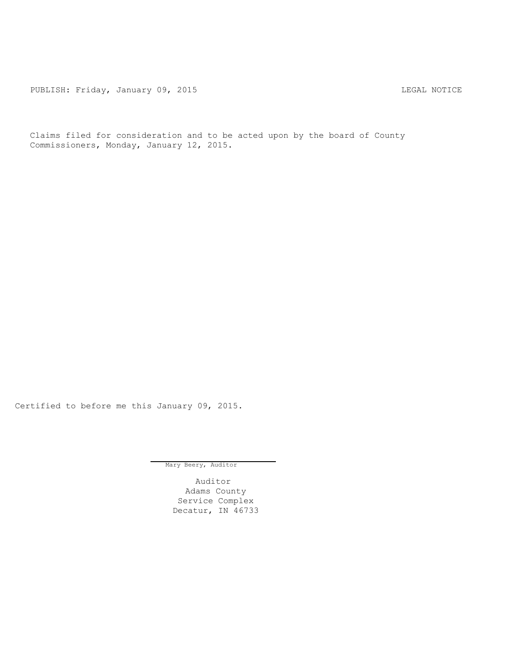PUBLISH: Friday, January 09, 2015 CHA CHANGE CONTROL CONTROL CONTROL NOTICE

Claims filed for consideration and to be acted upon by the board of County Commissioners, Monday, January 12, 2015.

Certified to before me this January 09, 2015.

Mary Beery, Auditor

Auditor Adams County Service Complex Decatur, IN 46733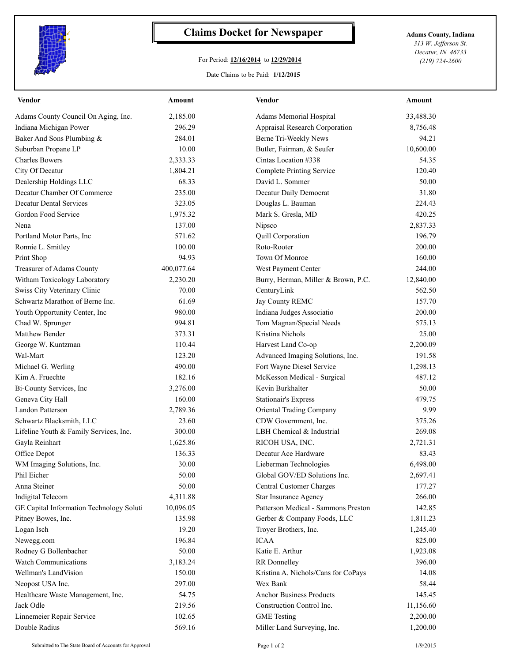

## **Claims Docket for Newspaper Adams County, Indiana**

## For Period: **12/16/2014** to **12/29/2014**

*313 W. Jefferson St. Decatur, IN 46733 (219) 724-2600*

## Date Claims to be Paid: **1/12/2015**

| 33,488.30 |
|-----------|
|           |
| 8,756.48  |
| 94.21     |
| 10,600.00 |
| 54.35     |
| 120.40    |
| 50.00     |
| 31.80     |
| 224.43    |
| 420.25    |
| 2,837.33  |
| 196.79    |
| 200.00    |
| 160.00    |
| 244.00    |
| 12,840.00 |
| 562.50    |
| 157.70    |
| 200.00    |
| 575.13    |
| 25.00     |
| 2,200.09  |
| 191.58    |
| 1,298.13  |
| 487.12    |
| 50.00     |
| 479.75    |
| 9.99      |
| 375.26    |
| 269.08    |
| 2,721.31  |
| 83.43     |
| 6,498.00  |
| 2,697.41  |
| 177.27    |
| 266.00    |
| 142.85    |
| 1,811.23  |
| 1,245.40  |
| 825.00    |
| 1,923.08  |
| 396.00    |
| 14.08     |
| 58.44     |
| 145.45    |
| 11,156.60 |
| 2,200.00  |
| 1,200.00  |
|           |